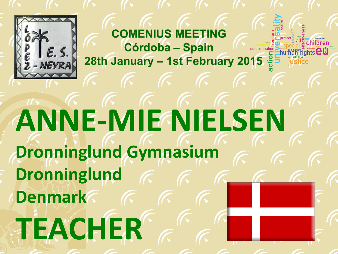

## **ANNE-MIE NIELSEN Dronninglund Gymnasium Dronninglund Denmark TEACHER**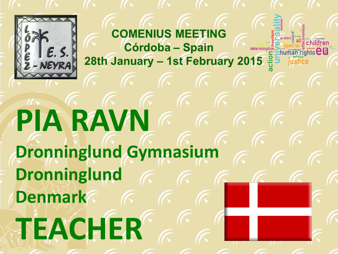

### $\sqrt{2}$ PIA RAVNE E **Dronninglund Gymnasium Dronninglund Denmark TEACHER**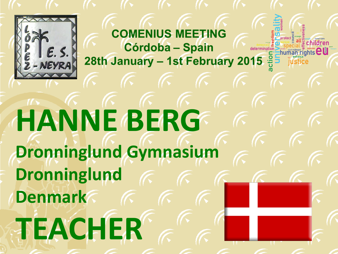

### **HANNE BERG Dronninglund Gymnasium Dronninglund Denmark TEACHER**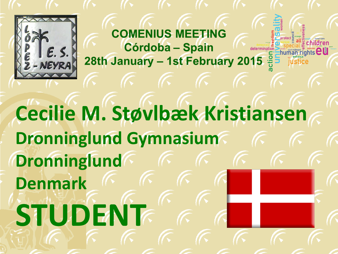

**Cecilie M. Støvlbæk Kristiansen Dronninglund Gymnasium Dronninglund Denmark STUDENT**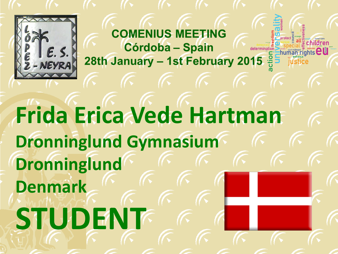

### **Frida Erica Vede Hartman Dronninglund Gymnasium Dronninglund Denmark STUDENT**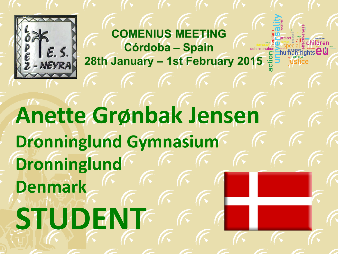

**Anette Grønbak Jensen Dronninglund Gymnasium Dronninglund Denmark STUDENT**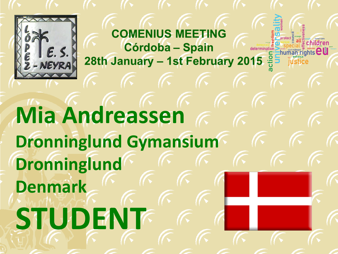

**Mia Andreassen Dronninglund Gymansium Dronninglund Denmark STUDENT**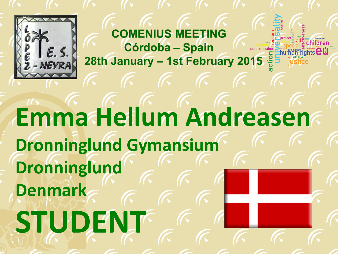

### **Emma Hellum Andreasen Dronninglund Gymansium Dronninglund Denmark STUDENT**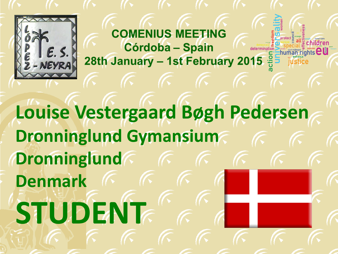

**Louise Vestergaard Bøgh Pedersen Dronninglund Gymansium Dronninglund Denmark STUDENT**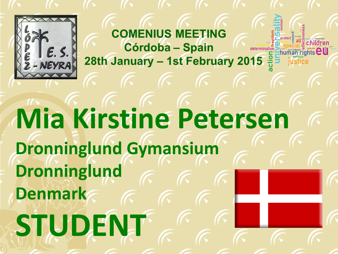

### **Mia Kirstine Petersen Dronninglund Gymansium Dronninglund Denmark STUDENT**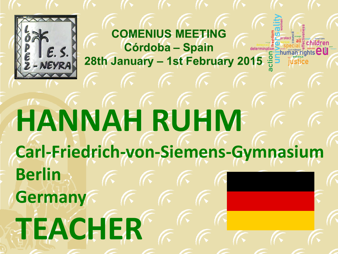

### **HANNAH RUHM Carl-Friedrich-von-Siemens-Gymnasium Berlin Germany**  $\sqrt{6}$ **TEACHER**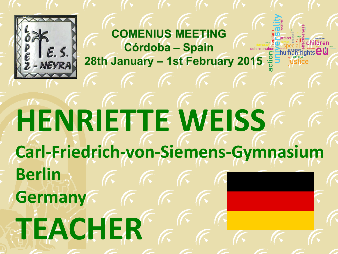

### **HENRIETTE WEISS Carl-Friedrich-von-Siemens-Gymnasium Berlin Germany**  $\sqrt{2}$ **TEACHER**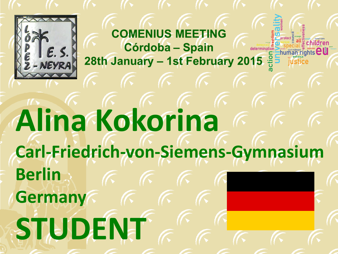

### **Alina Kokorina Carl-Friedrich-von-Siemens-Gymnasium Berlin Germany**  $\sqrt{2}$ **STUDENT**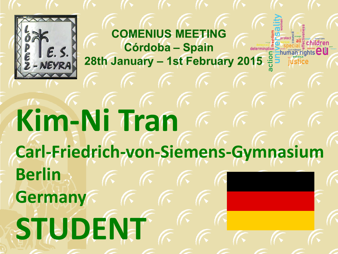

### $K$   $K$   $K$ **Kim-Ni Tran Carl-Friedrich-von-Siemens-Gymnasium Berlin Germany**  $\sqrt{6}$ **STUDENT**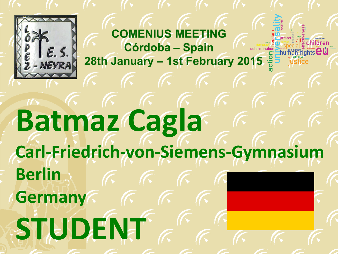

### **Batmaz Cagla Carl-Friedrich-von-Siemens-Gymnasium Berlin Germany STUDENT**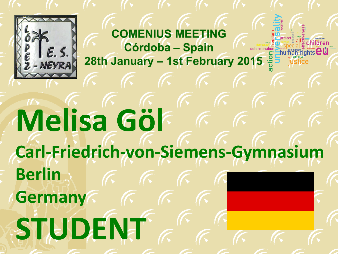

### $\sqrt{2}$ **Melisa Göl Carl-Friedrich-von-Siemens-Gymnasium Berlin Germany**  $\sqrt{6}$ **STUDENT**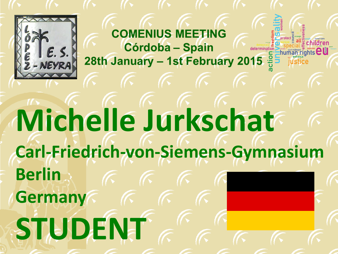

## **Michelle Jurkschat Carl-Friedrich-von-Siemens-Gymnasium Berlin Germany STUDENT**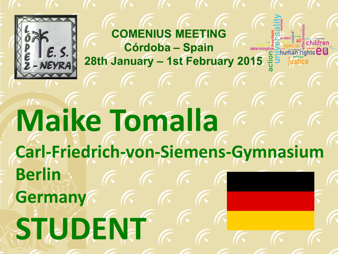

### **Maike Tomalla Carl-Friedrich-von-Siemens-Gymnasium Berlin Germany**  $\sqrt{6}$ **STUDENT**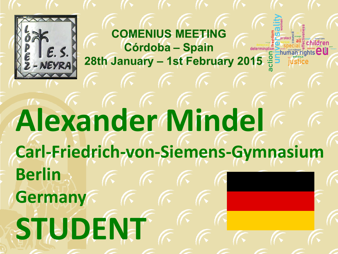

### **Alexander Mindel Carl-Friedrich-von-Siemens-Gymnasium Berlin Germany STUDENT**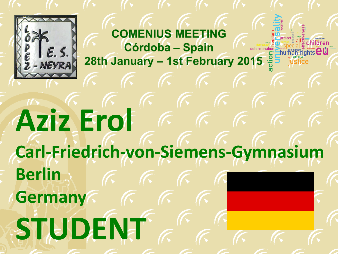

#### $\kappa$   $\kappa$   $\kappa$ **Aziz Erol**  $\kappa$   $\kappa$   $\kappa$ **Carl-Friedrich-von-Siemens-Gymnasium Berlin Germany**  $\sqrt{6}$ **STUDENT**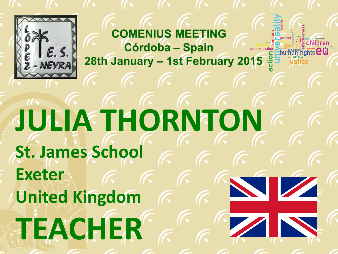

## **JULIA THORNTON St. James School Exeter United Kingdom TEACHER**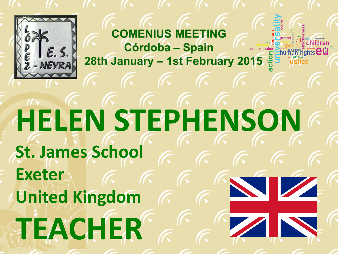

## **HELEN STEPHENSON St. James School Exeter United Kingdom TEACHER**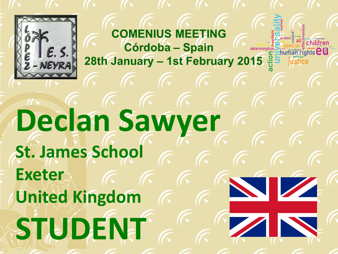

### **Declan Sawyer St. James School Exeter United Kingdom STUDENT**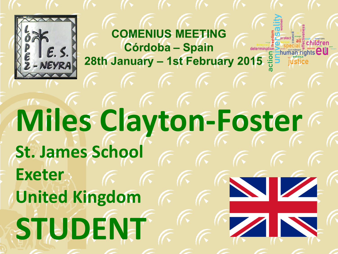

## **Miles Clayton-Foster St. James School Exeter United Kingdom STUDENT**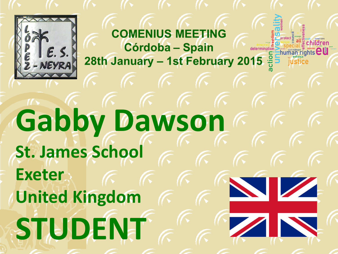

## **Gabby Dawson St. James School Exeter United Kingdom STUDENT**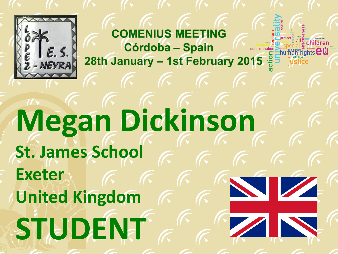

### **Megan Dickinson St. James School Exeter United Kingdom STUDENT**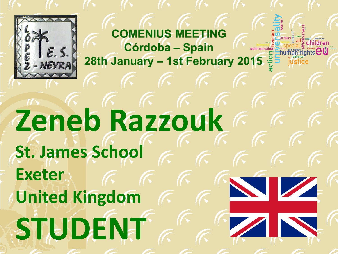

**Zeneb Razzouk St. James School Exeter United Kingdom STUDENT**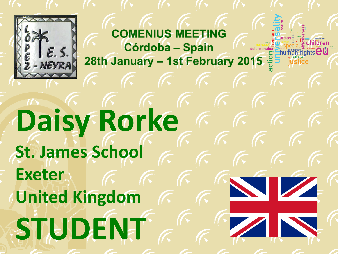

**Daisy Rorke St. James School Exeter United Kingdom STUDENT**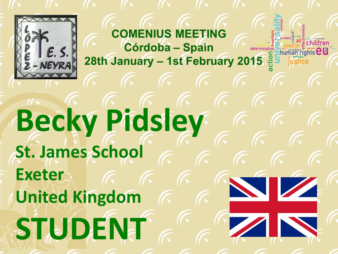

## **Becky Pidsley St. James School Exeter United Kingdom STUDENT**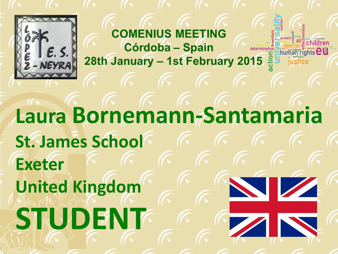

**Laura Bornemann-Santamaria St. James School Exeter United Kingdom STUDENT**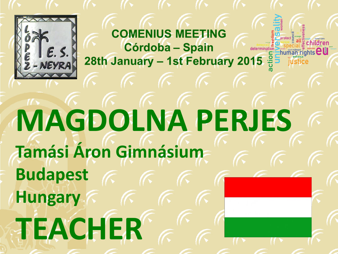

## **MAGDOLNA PERJES Tamási Áron Gimnásium Budapest Hungary TEACHER**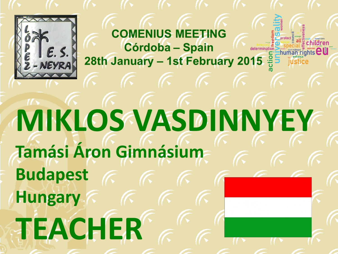

## **MIKLOS VASDINNYEY Tamási Áron Gimnásium Budapest Hungary TEACHER**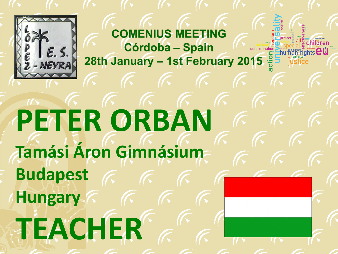

# **PETER ORBAN Tamási Áron Gimnásium Budapest Hungary TEACHER**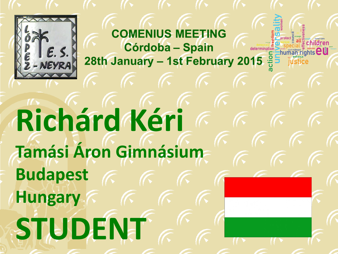

## **Richárd Kéri Tamási Áron Gimnásium Budapest Hungary STUDENT**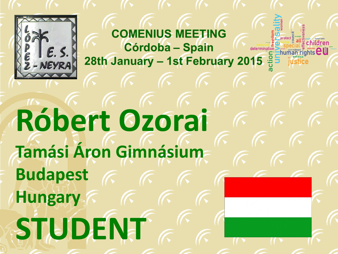

# **Róbert Ozorai Tamási Áron Gimnásium Budapest Hungary STUDENT**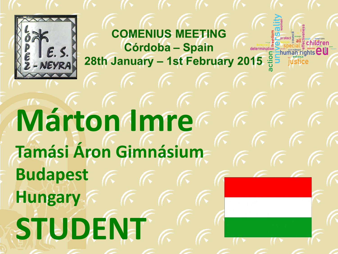

# **Márton Imre Tamási Áron Gimnásium Budapest Hungary STUDENT**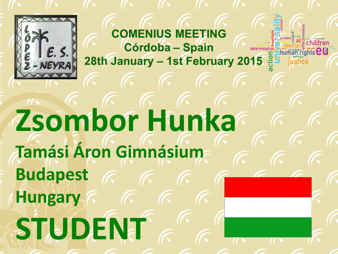

# **Zsombor Hunka Tamási Áron Gimnásium Budapest Hungary STUDENT**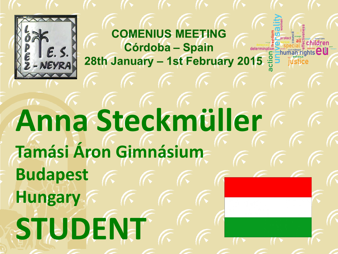

# **Anna Steckmüller Tamási Áron Gimnásium Budapest Hungary STUDENT**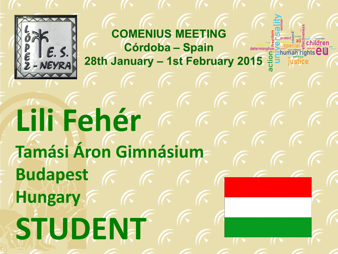

# **Lili Fehér Tamási Áron Gimnásium Budapest Hungary STUDENT**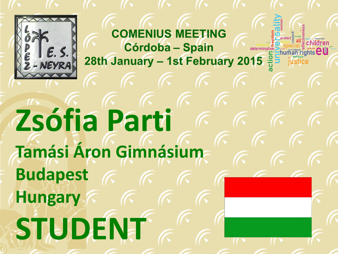

# **Zsófia Parti Tamási Áron Gimnásium Budapest Hungary STUDENT**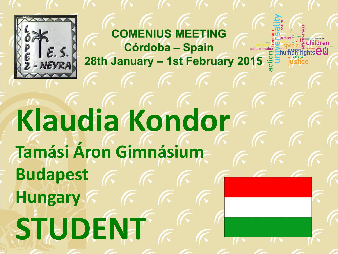

# **Klaudia Kondor Tamási Áron Gimnásium Budapest Hungary STUDENT**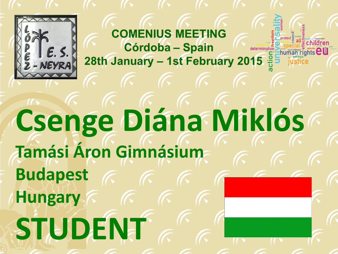

## **Csenge Diána Miklós Tamási Áron Gimnásium Budapest Hungary STUDENT**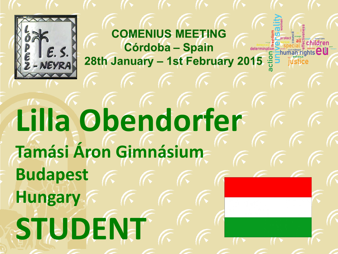

# **Lilla Obendorfer Tamási Áron Gimnásium Budapest Hungary STUDENT**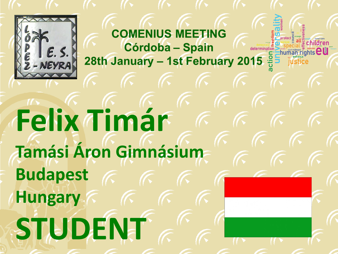

# **Felix Timár Tamási Áron Gimnásium Budapest Hungary STUDENT**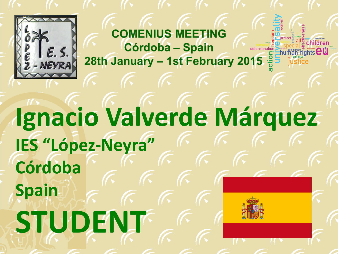

#### **Ignacio Valverde Márquez IES "López-Neyra" Córdoba Spain STUDENT**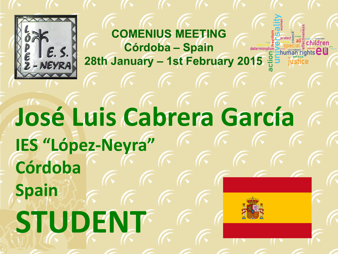

#### **José Luis Cabrera García IES "López-Neyra" Córdoba Spain STUDENT**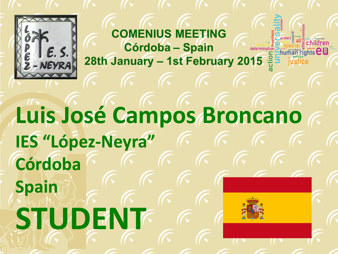

#### **Luis José Campos Broncano IES "López-Neyra" Córdoba Spain STUDENT**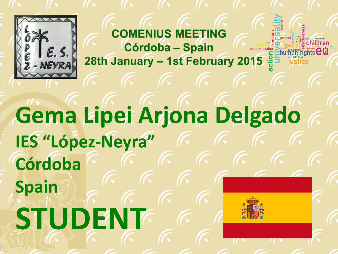

#### **Gema Lipei Arjona Delgado IES "López-Neyra" Córdoba Spain STUDENT**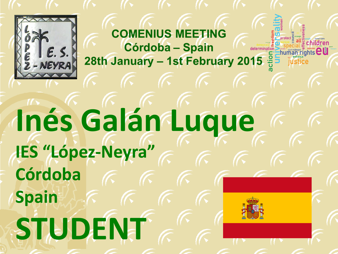

## **Inés Galán Luque IES "López-Neyra" Córdoba Spain STUDENT**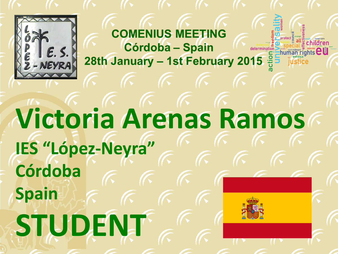

#### **Victoria Arenas Ramos IES "López-Neyra" Córdoba Spain STUDENT**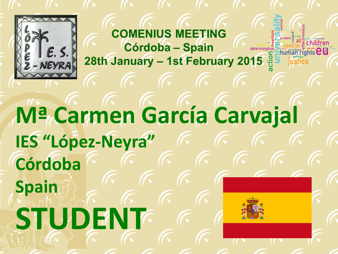

#### **Mª Carmen García Carvajal IES "López-Neyra" Córdoba Spain STUDENT**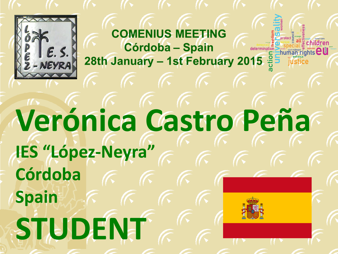

## **Verónica Castro Peña IES "López-Neyra" Córdoba Spain STUDENT**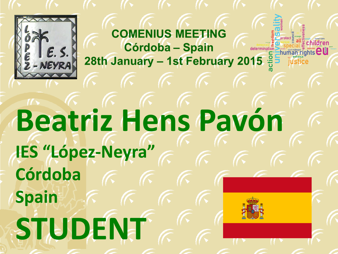

### **Beatriz Hens Pavón IES "López-Neyra" Córdoba Spain STUDENT**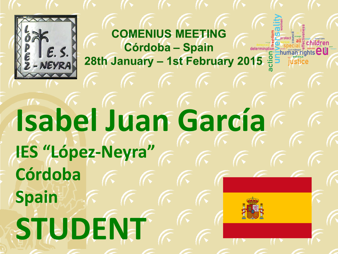

# **Isabel Juan García IES "López-Neyra" Córdoba Spain STUDENT**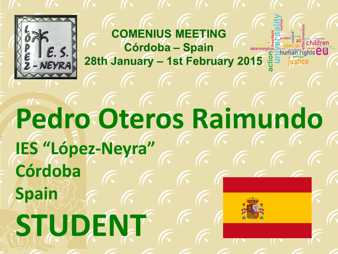

### **Pedro Oteros Raimundo IES "López-Neyra" Córdoba Spain STUDENT**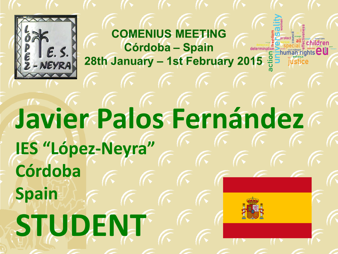

## **Javier Palos Fernández IES "López-Neyra" Córdoba Spain STUDENT**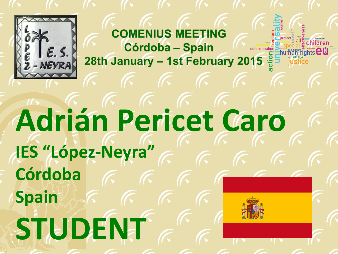

### **Adrián Pericet Caro IES "López-Neyra" Córdoba Spain STUDENT**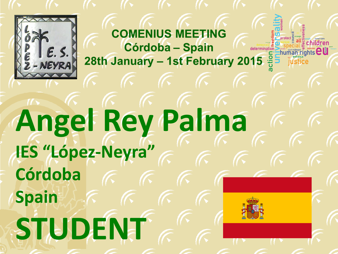

## **Angel Rey Palma IES "López-Neyra" Córdoba Spain STUDENT**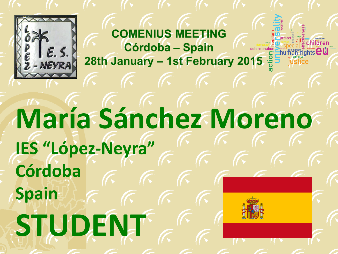

#### **María Sánchez Moreno IES "López-Neyra" Córdoba Spain STUDENT**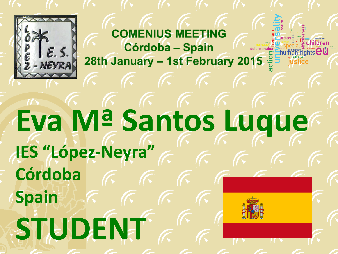

## **Eva Mª Santos Luque IES "López-Neyra" Córdoba Spain STUDENT**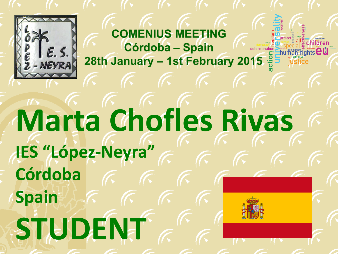

### **Marta Chofles Rivas IES "López-Neyra" Córdoba Spain STUDENT**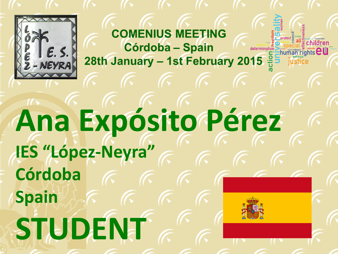

#### **Ana Expósito Pérez IES "López-Neyra" Córdoba Spain STUDENT**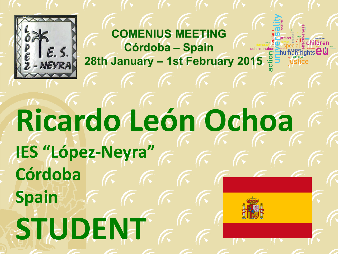

## **Ricardo León Ochoa IES "López-Neyra" Córdoba Spain STUDENT**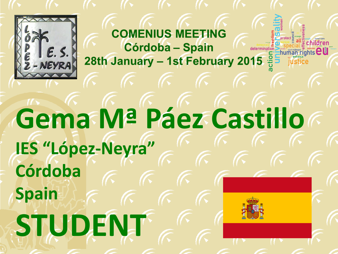

### **Gema Mª Páez Castillo IES "López-Neyra" Córdoba Spain STUDENT**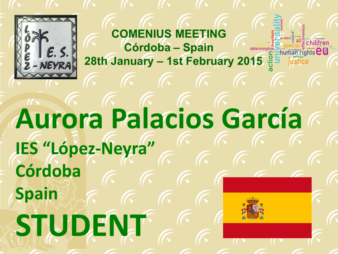

#### **Aurora Palacios García IES "López-Neyra" Córdoba Spain STUDENT**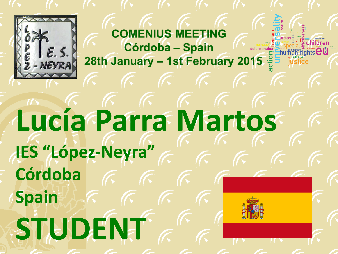

## **Lucía Parra Martos IES "López-Neyra" Córdoba Spain STUDENT**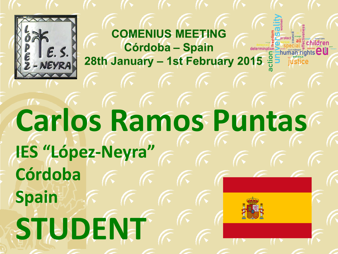

## **Carlos Ramos Puntas IES "López-Neyra" Córdoba Spain STUDENT**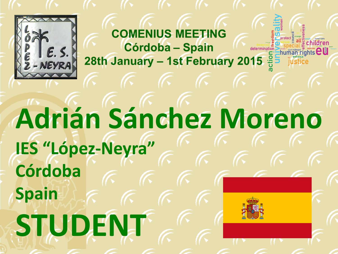

### **Adrián Sánchez Moreno IES "López-Neyra" Córdoba Spain STUDENT**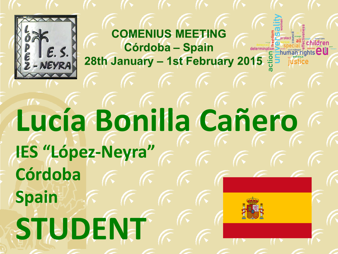

## **Lucía Bonilla Cañero IES "López-Neyra" Córdoba Spain STUDENT**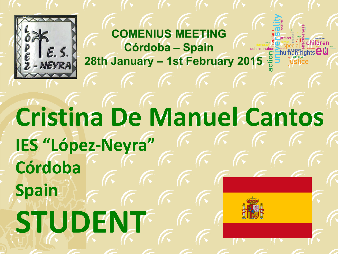

#### **Cristina De Manuel Cantos IES "López-Neyra" Córdoba Spain STUDENT**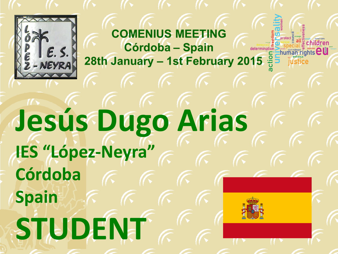

# **Jesús Dugo Arias IES "López-Neyra" Córdoba Spain STUDENT**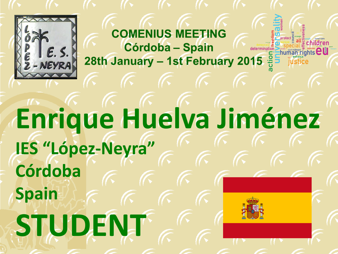

### **Enrique Huelva Jiménez IES "López-Neyra" Córdoba Spain STUDENT**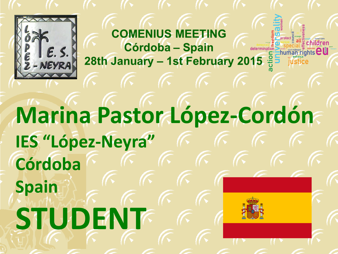

#### **Marina Pastor López-Cordón IES "López-Neyra" Córdoba Spain STUDENT**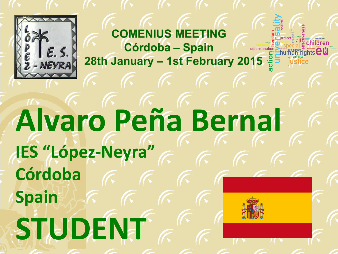

#### **Alvaro Peña Bernal IES "López-Neyra" Córdoba Spain STUDENT**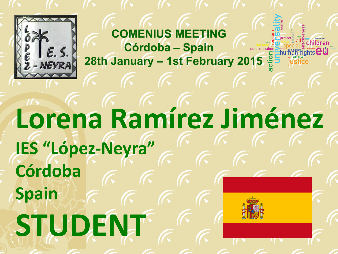

#### **Lorena Ramírez Jiménez IES "López-Neyra" Córdoba Spain STUDENT**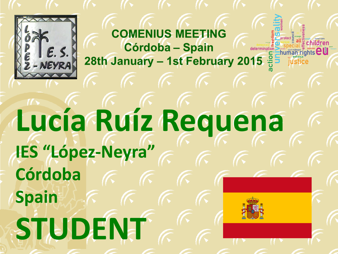

## **Lucía Ruíz Requena IES "López-Neyra" Córdoba Spain STUDENT**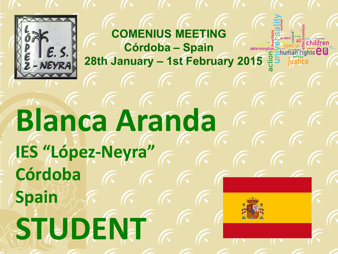

## **Blanca Aranda IES "López-Neyra" Córdoba Spain STUDENT**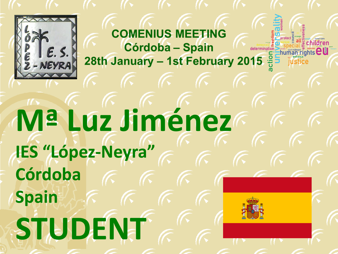

## **Mª Luz Jiménez IES "López-Neyra" Córdoba Spain STUDENT**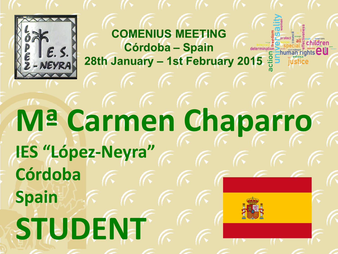

#### **Mª Carmen Chaparro IES "López-Neyra" Córdoba Spain STUDENT**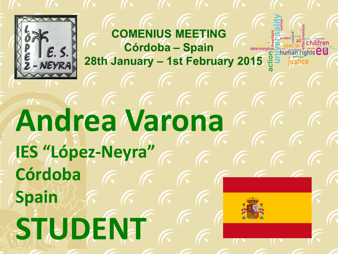

## **Andrea Varona IES "López-Neyra" Córdoba Spain STUDENT**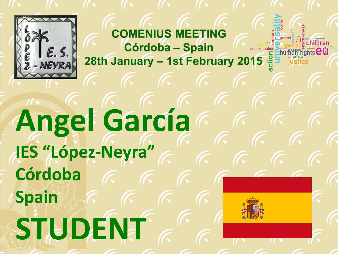

# **Angel García IES "López-Neyra" Córdoba Spain STUDENT**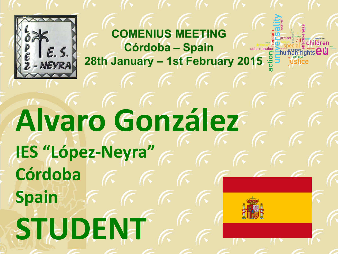

## **Alvaro González IES "López-Neyra" Córdoba Spain STUDENT**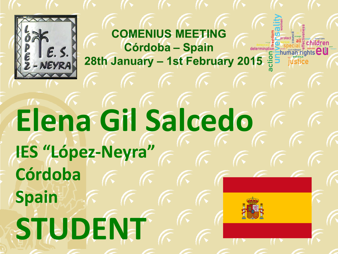

## **Elena Gil Salcedo IES "López-Neyra" Córdoba Spain STUDENT**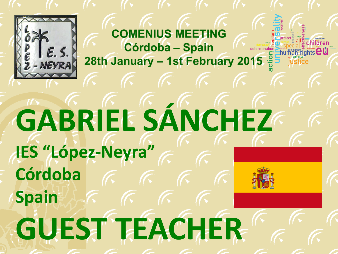

## **GABRIEL SÁNCHEZ IES "López-Neyra" Córdoba Spain GUEST TEACHER**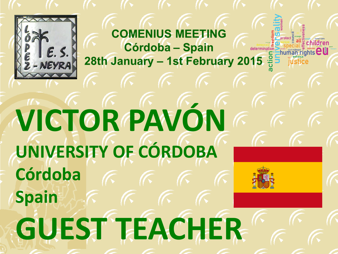

## **VICTOR PAVÓN UNIVERSITY OF CÓRDOBA Córdoba Spain GUEST TEACHER**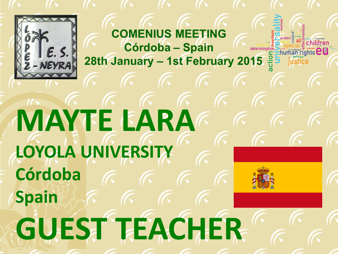

# **MAYTE LARA LOYOLA UNIVERSITY Córdoba Spain GUEST TEACHER**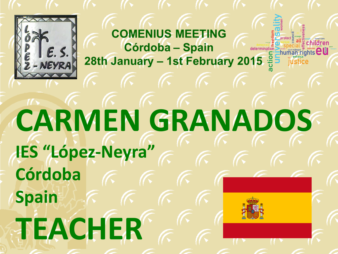

## **CARMEN GRANADOS IES "López-Neyra" Córdoba Spain TEACHER**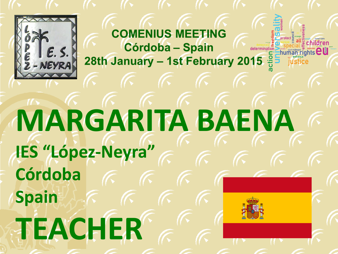

## **MARGARITA BAENA IES "López-Neyra" Córdoba Spain TEACHER**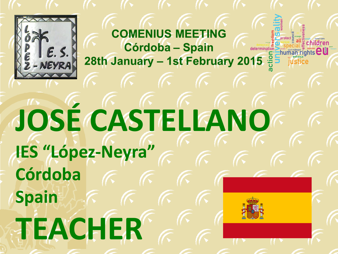

# **JOSÉ CASTELLANO IES "López-Neyra" Córdoba Spain TEACHER**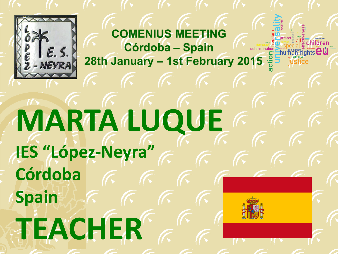

# **MARTA LUQUE IES "López-Neyra" Córdoba Spain TEACHER**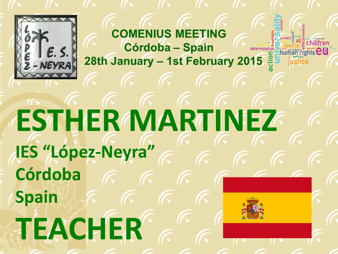

## **ESTHER MARTINEZ IES "López-Neyra" Córdoba Spain TEACHER**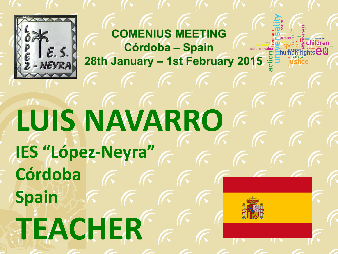

# **LUIS NAVARRO IES "López-Neyra" Córdoba Spain TEACHER**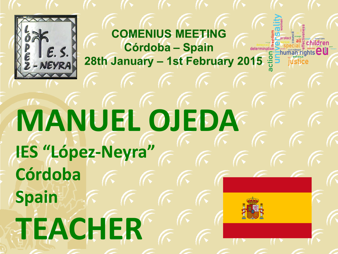

# **MANUEL OJEDA IES "López-Neyra" Córdoba Spain TEACHER**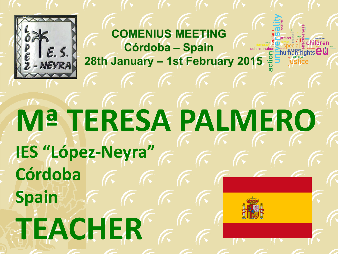

## **Mª TERESA PALMERO IES "López-Neyra" Córdoba Spain TEACHER**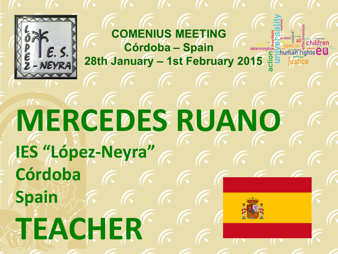

## **MERCEDES RUANO IES "López-Neyra" Córdoba Spain TEACHER**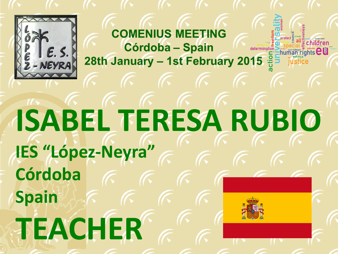

## **ISABEL TERESA RUBIO IES "López-Neyra" Córdoba Spain TEACHER**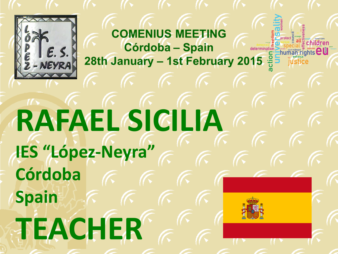

# **RAFAEL SICILIA IES "López-Neyra" Córdoba Spain TEACHER**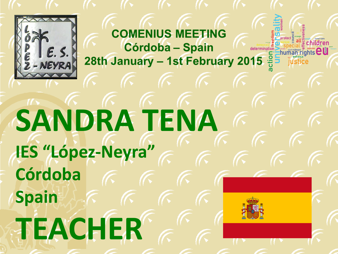

# **SANDRA TENA IES "López-Neyra" Córdoba Spain TEACHER**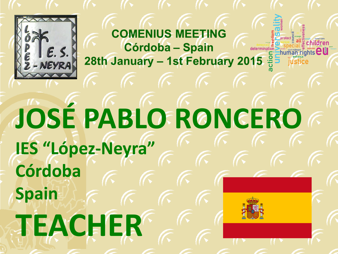

## **JOSÉ PABLO RONCERO IES "López-Neyra" Córdoba Spain TEACHER**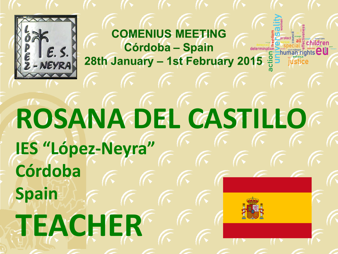

#### **ROSANA DEL CASTILLO IES "López-Neyra" Córdoba Spain TEACHER**